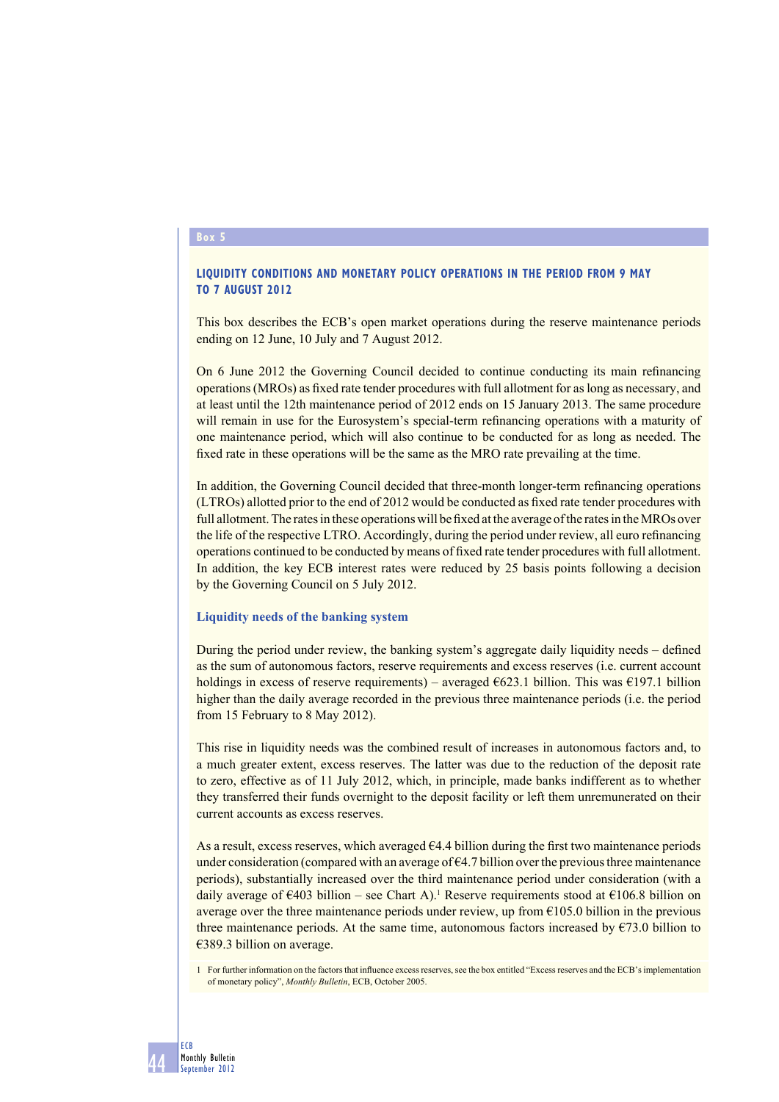### **Box 5**

## **LIQUIDITY CONDITIONS AND MONETARY POLICY OPERATIONS IN THE PERIOD FROM 9 MAY TO 7 AUGUST 2012**

This box describes the ECB's open market operations during the reserve maintenance periods ending on 12 June, 10 July and 7 August 2012.

On 6 June 2012 the Governing Council decided to continue conducting its main refinancing operations (MROs) as fi xed rate tender procedures with full allotment for as long as necessary, and at least until the 12th maintenance period of 2012 ends on 15 January 2013. The same procedure will remain in use for the Eurosystem's special-term refinancing operations with a maturity of one maintenance period, which will also continue to be conducted for as long as needed. The fixed rate in these operations will be the same as the MRO rate prevailing at the time.

In addition, the Governing Council decided that three-month longer-term refinancing operations (LTROs) allotted prior to the end of 2012 would be conducted as fi xed rate tender procedures with full allotment. The rates in these operations will be fixed at the average of the rates in the MROs over the life of the respective LTRO. Accordingly, during the period under review, all euro refinancing operations continued to be conducted by means of fi xed rate tender procedures with full allotment. In addition, the key ECB interest rates were reduced by 25 basis points following a decision by the Governing Council on 5 July 2012.

## **Liquidity needs of the banking system**

During the period under review, the banking system's aggregate daily liquidity needs – defined as the sum of autonomous factors, reserve requirements and excess reserves (i.e. current account holdings in excess of reserve requirements) – averaged  $6623.1$  billion. This was  $6197.1$  billion higher than the daily average recorded in the previous three maintenance periods (i.e. the period from 15 February to 8 May 2012).

This rise in liquidity needs was the combined result of increases in autonomous factors and, to a much greater extent, excess reserves. The latter was due to the reduction of the deposit rate to zero, effective as of 11 July 2012, which, in principle, made banks indifferent as to whether they transferred their funds overnight to the deposit facility or left them unremunerated on their current accounts as excess reserves.

As a result, excess reserves, which averaged  $64.4$  billion during the first two maintenance periods under consideration (compared with an average of  $\epsilon$ 4.7 billion over the previous three maintenance periods), substantially increased over the third maintenance period under consideration (with a daily average of  $\epsilon$ 403 billion – see Chart A).<sup>1</sup> Reserve requirements stood at  $\epsilon$ 106.8 billion on average over the three maintenance periods under review, up from  $\epsilon$ 105.0 billion in the previous three maintenance periods. At the same time, autonomous factors increased by  $\epsilon$ 73.0 billion to €389.3 billion on average.

1 For further information on the factors that influence excess reserves, see the box entitled "Excess reserves and the ECB's implementation of monetary policy", *Monthly Bulletin*, ECB, October 2005.

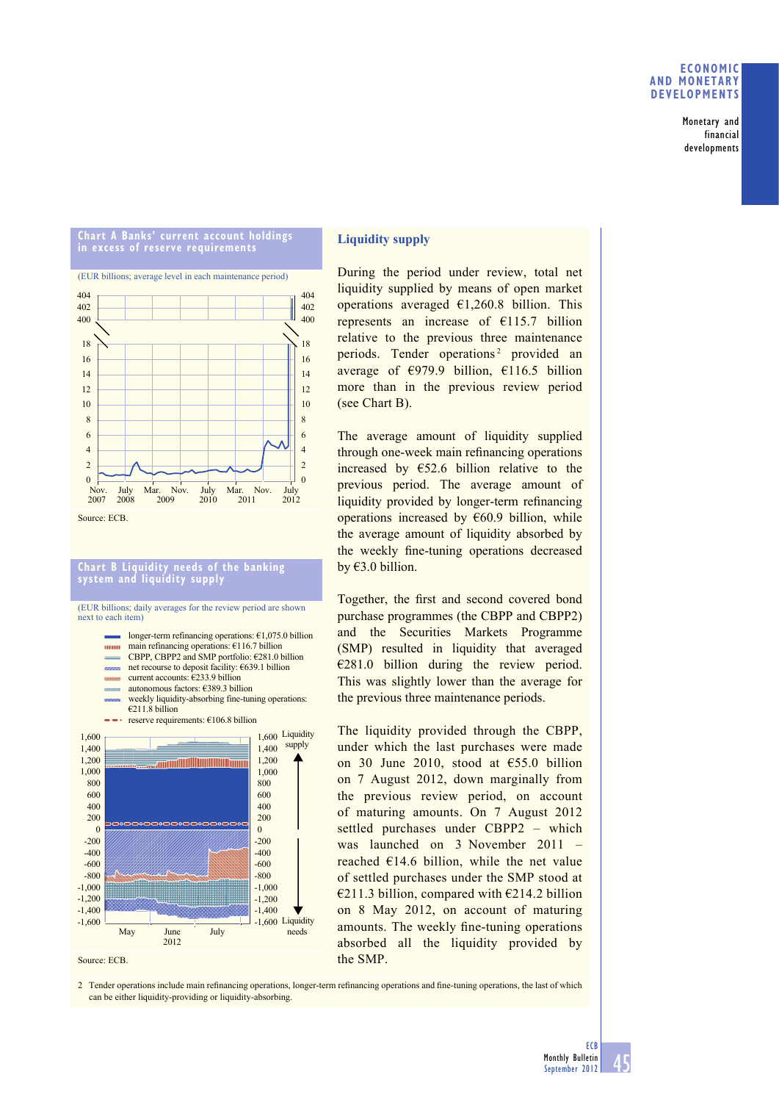## **ECONOMIC AND MONETARY DEVELOPMENTS**

Monetary and financial developments



-1,600 -1,400  $-1,200$ -1,000 -800 -600 -400 -200 0

Source: ECB.

May June July

2012

## **Liquidity supply**

During the period under review, total net liquidity supplied by means of open market operations averaged  $\epsilon$ 1,260.8 billion. This represents an increase of €115.7 billion relative to the previous three maintenance periods. Tender operations<sup>2</sup> provided an average of  $\epsilon$ 979.9 billion,  $\epsilon$ 116.5 billion more than in the previous review period (see Chart B).

The average amount of liquidity supplied through one-week main refinancing operations increased by  $E$ 52.6 billion relative to the previous period. The average amount of liquidity provided by longer-term refinancing operations increased by  $€60.9$  billion, while the average amount of liquidity absorbed by the weekly fine-tuning operations decreased by €3.0 billion.

Together, the first and second covered bond purchase programmes (the CBPP and CBPP2) and the Securities Markets Programme (SMP) resulted in liquidity that averaged  $\epsilon$ 281.0 billion during the review period. This was slightly lower than the average for the previous three maintenance periods.

The liquidity provided through the CBPP, under which the last purchases were made on 30 June 2010, stood at €55.0 billion on 7 August 2012, down marginally from the previous review period, on account of maturing amounts. On 7 August 2012 settled purchases under CBPP2 – which was launched on 3 November 2011 – reached  $€14.6$  billion, while the net value of settled purchases under the SMP stood at €211.3 billion, compared with €214.2 billion on 8 May 2012, on account of maturing amounts. The weekly fine-tuning operations absorbed all the liquidity provided by the SMP.



-1,600 Liquidity -1,400  $-1,200$ -1,000 -800 -600 -400 -200 0

needs